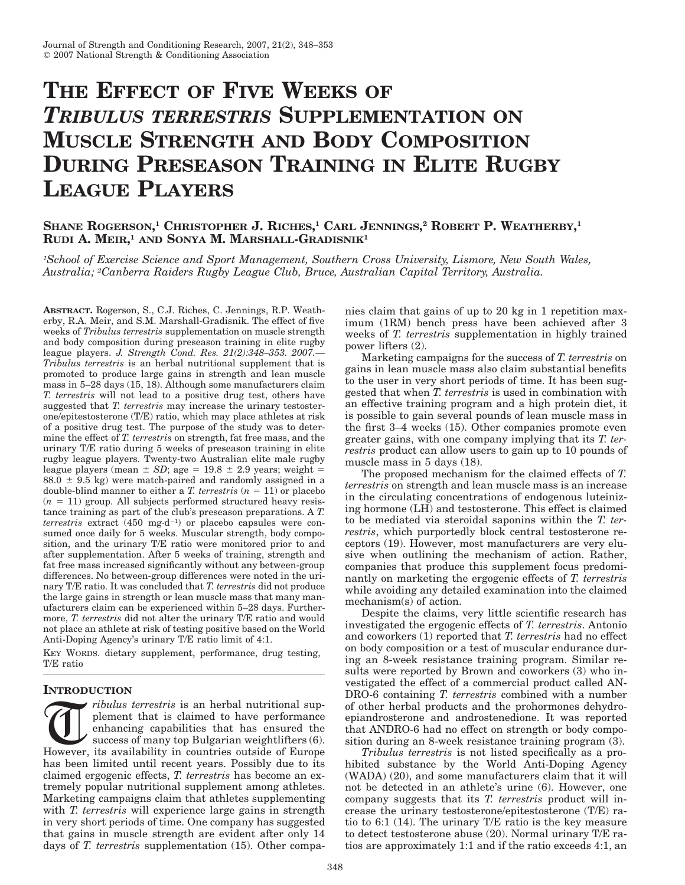# **THE EFFECT OF FIVE WEEKS OF** *TRIBULUS TERRESTRIS* **SUPPLEMENTATION ON MUSCLE STRENGTH AND BODY COMPOSITION DURING PRESEASON TRAINING IN ELITE RUGBY LEAGUE PLAYERS**

# **SHANE ROGERSON, <sup>1</sup> CHRISTOPHER J. RICHES, <sup>1</sup> CARL JENNINGS, <sup>2</sup> ROBERT P. WEATHERBY, 1 RUDI A. MEIR, <sup>1</sup> AND SONYA M. MARSHALL-GRADISNIK1**

*1School of Exercise Science and Sport Management, Southern Cross University, Lismore, New South Wales, Australia; 2Canberra Raiders Rugby League Club, Bruce, Australian Capital Territory, Australia.*

**ABSTRACT.** Rogerson, S., C.J. Riches, C. Jennings, R.P. Weatherby, R.A. Meir, and S.M. Marshall-Gradisnik. The effect of five weeks of *Tribulus terrestris* supplementation on muscle strength and body composition during preseason training in elite rugby league players. *J. Strength Cond. Res. 21(2):348–353. 2007.*— *Tribulus terrestris* is an herbal nutritional supplement that is promoted to produce large gains in strength and lean muscle mass in 5–28 days (15, 18). Although some manufacturers claim *T. terrestris* will not lead to a positive drug test, others have suggested that *T. terrestris* may increase the urinary testosterone/epitestosterone (T/E) ratio, which may place athletes at risk of a positive drug test. The purpose of the study was to determine the effect of *T. terrestris* on strength, fat free mass, and the urinary T/E ratio during 5 weeks of preseason training in elite rugby league players. Twenty-two Australian elite male rugby league players (mean  $\pm$  *SD*; age = 19.8  $\pm$  2.9 years; weight =  $88.0 \pm 9.5$  kg) were match-paired and randomly assigned in a double-blind manner to either a *T. terrestris*  $(n = 11)$  or placebo  $(n = 11)$  group. All subjects performed structured heavy resistance training as part of the club's preseason preparations. A *T.*  $terrestris$  extract  $(450 \text{ mg} \cdot \text{d}^{-1})$  or placebo capsules were consumed once daily for 5 weeks. Muscular strength, body composition, and the urinary T/E ratio were monitored prior to and after supplementation. After 5 weeks of training, strength and fat free mass increased significantly without any between-group differences. No between-group differences were noted in the urinary T/E ratio. It was concluded that *T. terrestris* did not produce the large gains in strength or lean muscle mass that many manufacturers claim can be experienced within 5–28 days. Furthermore, *T. terrestris* did not alter the urinary T/E ratio and would not place an athlete at risk of testing positive based on the World Anti-Doping Agency's urinary T/E ratio limit of 4:1.

KEY WORDS. dietary supplement, performance, drug testing, T/E ratio

# **INTRODUCTION**

Tribulus terrestris is an herbal nutritional supplement that is claimed to have performance enhancing capabilities that has ensured the success of many top Bulgarian weightlifters (6). However, its availability in countrie plement that is claimed to have performance enhancing capabilities that has ensured the success of many top Bulgarian weightlifters (6). has been limited until recent years. Possibly due to its claimed ergogenic effects, *T. terrestris* has become an extremely popular nutritional supplement among athletes. Marketing campaigns claim that athletes supplementing with *T. terrestris* will experience large gains in strength in very short periods of time. One company has suggested that gains in muscle strength are evident after only 14 days of *T. terrestris* supplementation (15). Other companies claim that gains of up to 20 kg in 1 repetition maximum (1RM) bench press have been achieved after 3 weeks of *T. terrestris* supplementation in highly trained power lifters (2).

Marketing campaigns for the success of *T. terrestris* on gains in lean muscle mass also claim substantial benefits to the user in very short periods of time. It has been suggested that when *T. terrestris* is used in combination with an effective training program and a high protein diet, it is possible to gain several pounds of lean muscle mass in the first 3–4 weeks (15). Other companies promote even greater gains, with one company implying that its *T. terrestris* product can allow users to gain up to 10 pounds of muscle mass in 5 days (18).

The proposed mechanism for the claimed effects of *T. terrestris* on strength and lean muscle mass is an increase in the circulating concentrations of endogenous luteinizing hormone (LH) and testosterone. This effect is claimed to be mediated via steroidal saponins within the *T. terrestris*, which purportedly block central testosterone receptors (19). However, most manufacturers are very elusive when outlining the mechanism of action. Rather, companies that produce this supplement focus predominantly on marketing the ergogenic effects of *T. terrestris* while avoiding any detailed examination into the claimed mechanism(s) of action.

Despite the claims, very little scientific research has investigated the ergogenic effects of *T. terrestris*. Antonio and coworkers (1) reported that *T. terrestris* had no effect on body composition or a test of muscular endurance during an 8-week resistance training program. Similar results were reported by Brown and coworkers (3) who investigated the effect of a commercial product called AN-DRO-6 containing *T. terrestris* combined with a number of other herbal products and the prohormones dehydroepiandrosterone and androstenedione. It was reported that ANDRO-6 had no effect on strength or body composition during an 8-week resistance training program (3).

*Tribulus terrestris* is not listed specifically as a prohibited substance by the World Anti-Doping Agency (WADA) (20), and some manufacturers claim that it will not be detected in an athlete's urine (6). However, one company suggests that its *T. terrestris* product will increase the urinary testosterone/epitestosterone (T/E) ratio to 6:1 (14). The urinary T/E ratio is the key measure to detect testosterone abuse (20). Normal urinary T/E ratios are approximately 1:1 and if the ratio exceeds 4:1, an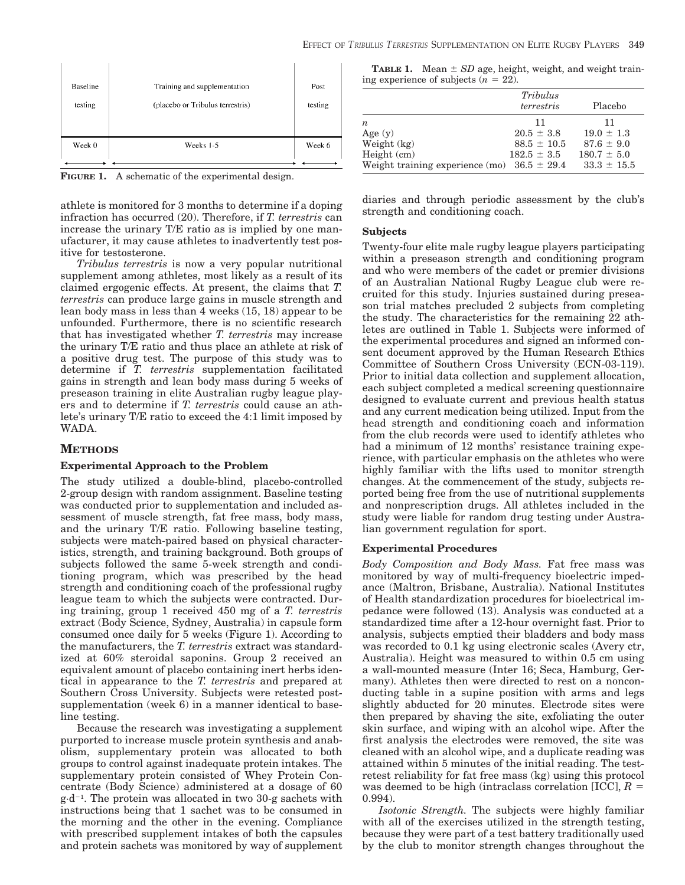| Baseline | Training and supplementation     | Post    |
|----------|----------------------------------|---------|
| testing  | (placebo or Tribulus terrestris) | testing |
| Week 0   | Weeks 1-5                        | Week 6  |

**FIGURE 1.** A schematic of the experimental design.

athlete is monitored for 3 months to determine if a doping infraction has occurred (20). Therefore, if *T. terrestris* can increase the urinary T/E ratio as is implied by one manufacturer, it may cause athletes to inadvertently test positive for testosterone.

*Tribulus terrestris* is now a very popular nutritional supplement among athletes, most likely as a result of its claimed ergogenic effects. At present, the claims that *T. terrestris* can produce large gains in muscle strength and lean body mass in less than 4 weeks (15, 18) appear to be unfounded. Furthermore, there is no scientific research that has investigated whether *T. terrestris* may increase the urinary T/E ratio and thus place an athlete at risk of a positive drug test. The purpose of this study was to determine if *T. terrestris* supplementation facilitated gains in strength and lean body mass during 5 weeks of preseason training in elite Australian rugby league players and to determine if *T. terrestris* could cause an athlete's urinary T/E ratio to exceed the 4:1 limit imposed by WADA.

# **METHODS**

## **Experimental Approach to the Problem**

The study utilized a double-blind, placebo-controlled 2-group design with random assignment. Baseline testing was conducted prior to supplementation and included assessment of muscle strength, fat free mass, body mass, and the urinary T/E ratio. Following baseline testing, subjects were match-paired based on physical characteristics, strength, and training background. Both groups of subjects followed the same 5-week strength and conditioning program, which was prescribed by the head strength and conditioning coach of the professional rugby league team to which the subjects were contracted. During training, group 1 received 450 mg of a *T. terrestris* extract (Body Science, Sydney, Australia) in capsule form consumed once daily for 5 weeks (Figure 1). According to the manufacturers, the *T. terrestris* extract was standardized at 60% steroidal saponins. Group 2 received an equivalent amount of placebo containing inert herbs identical in appearance to the *T. terrestris* and prepared at Southern Cross University. Subjects were retested postsupplementation (week 6) in a manner identical to baseline testing.

Because the research was investigating a supplement purported to increase muscle protein synthesis and anabolism, supplementary protein was allocated to both groups to control against inadequate protein intakes. The supplementary protein consisted of Whey Protein Concentrate (Body Science) administered at a dosage of 60  $g \cdot d^{-1}$ . The protein was allocated in two 30-g sachets with instructions being that 1 sachet was to be consumed in the morning and the other in the evening. Compliance with prescribed supplement intakes of both the capsules and protein sachets was monitored by way of supplement

**TABLE 1.** Mean  $\pm$  *SD* age, height, weight, and weight training experience of subjects  $(n = 22)$ .

|                                                 | Tribulus<br>terrestris | Placebo         |
|-------------------------------------------------|------------------------|-----------------|
| $\boldsymbol{n}$                                | 11                     | 11              |
| Age $(y)$                                       | $20.5 \pm 3.8$         | $19.0 \pm 1.3$  |
| Weight (kg)                                     | $88.5 \pm 10.5$        | $87.6 \pm 9.0$  |
| Height (cm)                                     | $182.5 \pm 3.5$        | $180.7 \pm 5.0$ |
| Weight training experience (mo) $36.5 \pm 29.4$ |                        | $33.3 \pm 15.5$ |

diaries and through periodic assessment by the club's strength and conditioning coach.

## **Subjects**

Twenty-four elite male rugby league players participating within a preseason strength and conditioning program and who were members of the cadet or premier divisions of an Australian National Rugby League club were recruited for this study. Injuries sustained during preseason trial matches precluded 2 subjects from completing the study. The characteristics for the remaining 22 athletes are outlined in Table 1. Subjects were informed of the experimental procedures and signed an informed consent document approved by the Human Research Ethics Committee of Southern Cross University (ECN-03-119). Prior to initial data collection and supplement allocation, each subject completed a medical screening questionnaire designed to evaluate current and previous health status and any current medication being utilized. Input from the head strength and conditioning coach and information from the club records were used to identify athletes who had a minimum of 12 months' resistance training experience, with particular emphasis on the athletes who were highly familiar with the lifts used to monitor strength changes. At the commencement of the study, subjects reported being free from the use of nutritional supplements and nonprescription drugs. All athletes included in the study were liable for random drug testing under Australian government regulation for sport.

## **Experimental Procedures**

*Body Composition and Body Mass.* Fat free mass was monitored by way of multi-frequency bioelectric impedance (Maltron, Brisbane, Australia). National Institutes of Health standardization procedures for bioelectrical impedance were followed (13). Analysis was conducted at a standardized time after a 12-hour overnight fast. Prior to analysis, subjects emptied their bladders and body mass was recorded to 0.1 kg using electronic scales (Avery ctr, Australia). Height was measured to within 0.5 cm using a wall-mounted measure (Inter 16; Seca, Hamburg, Germany). Athletes then were directed to rest on a nonconducting table in a supine position with arms and legs slightly abducted for 20 minutes. Electrode sites were then prepared by shaving the site, exfoliating the outer skin surface, and wiping with an alcohol wipe. After the first analysis the electrodes were removed, the site was cleaned with an alcohol wipe, and a duplicate reading was attained within 5 minutes of the initial reading. The testretest reliability for fat free mass (kg) using this protocol was deemed to be high (intraclass correlation [ICC], *R* 0.994).

*Isotonic Strength.* The subjects were highly familiar with all of the exercises utilized in the strength testing, because they were part of a test battery traditionally used by the club to monitor strength changes throughout the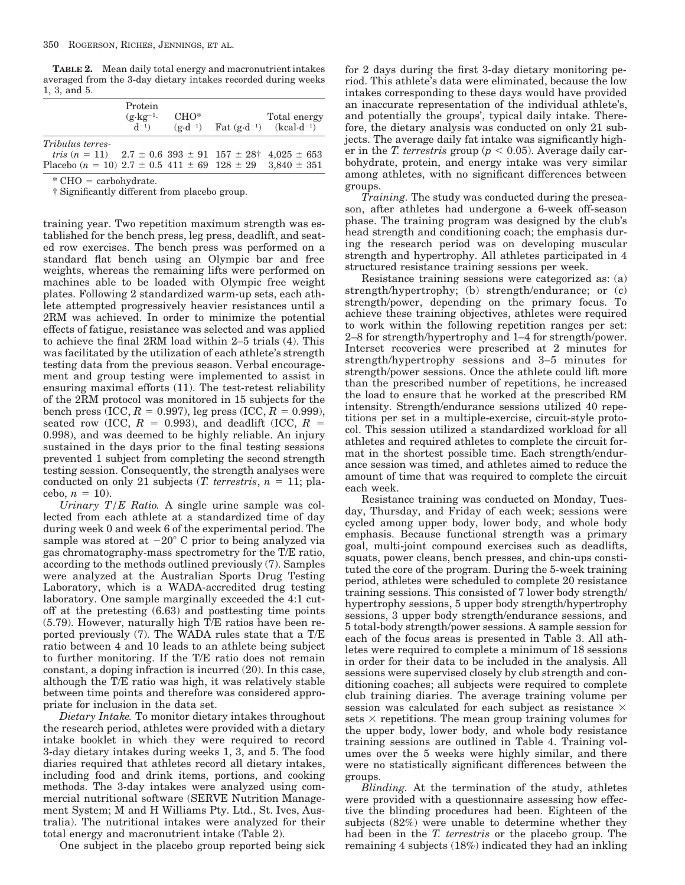**TABLE 2.** Mean daily total energy and macronutrient intakes averaged from the 3-day dietary intakes recorded during weeks 1, 3, and 5.

|                                                                                                                                                                                                           | Protein<br>$(g \cdot kg^{-1})$<br>$d^{-1}$ | $CHO^*$ | Total energy<br>$(g \cdot d^{-1})$ Fat $(g \cdot d^{-1})$ (kcal $\cdot d^{-1}$ ) |
|-----------------------------------------------------------------------------------------------------------------------------------------------------------------------------------------------------------|--------------------------------------------|---------|----------------------------------------------------------------------------------|
| <i>Tribulus terres-</i><br><i>tris</i> $(n = 11)$ 2.7 $\pm$ 0.6 393 $\pm$ 91 157 $\pm$ 28 <sup><math>\dagger</math></sup> 4.025 $\pm$ 653<br>Placebo ( $n = 10$ ) 2.7 ± 0.5 411 ± 69 128 ± 29 3.840 ± 351 |                                            |         |                                                                                  |

 $*$  CHO = carbohydrate.

† Significantly different from placebo group.

training year. Two repetition maximum strength was established for the bench press, leg press, deadlift, and seated row exercises. The bench press was performed on a standard flat bench using an Olympic bar and free weights, whereas the remaining lifts were performed on machines able to be loaded with Olympic free weight plates. Following 2 standardized warm-up sets, each athlete attempted progressively heavier resistances until a 2RM was achieved. In order to minimize the potential effects of fatigue, resistance was selected and was applied to achieve the final 2RM load within 2–5 trials (4). This was facilitated by the utilization of each athlete's strength testing data from the previous season. Verbal encouragement and group testing were implemented to assist in ensuring maximal efforts (11). The test-retest reliability of the 2RM protocol was monitored in 15 subjects for the bench press (ICC,  $R = 0.997$ ), leg press (ICC,  $R = 0.999$ ), seated row (ICC,  $R = 0.993$ ), and deadlift (ICC,  $R =$ 0.998), and was deemed to be highly reliable. An injury sustained in the days prior to the final testing sessions prevented 1 subject from completing the second strength testing session. Consequently, the strength analyses were conducted on only 21 subjects (*T. terrestris*,  $n = 11$ ; placebo,  $n = 10$ ).

*Urinary T/E Ratio.* A single urine sample was collected from each athlete at a standardized time of day during week 0 and week 6 of the experimental period. The sample was stored at  $-20^{\circ}$  C prior to being analyzed via gas chromatography-mass spectrometry for the T/E ratio, according to the methods outlined previously (7). Samples were analyzed at the Australian Sports Drug Testing Laboratory, which is a WADA-accredited drug testing laboratory. One sample marginally exceeded the 4:1 cutoff at the pretesting (6.63) and posttesting time points (5.79). However, naturally high T/E ratios have been reported previously (7). The WADA rules state that a T/E ratio between 4 and 10 leads to an athlete being subject to further monitoring. If the T/E ratio does not remain constant, a doping infraction is incurred (20). In this case, although the T/E ratio was high, it was relatively stable between time points and therefore was considered appropriate for inclusion in the data set.

*Dietary Intake.* To monitor dietary intakes throughout the research period, athletes were provided with a dietary intake booklet in which they were required to record 3-day dietary intakes during weeks 1, 3, and 5. The food diaries required that athletes record all dietary intakes, including food and drink items, portions, and cooking methods. The 3-day intakes were analyzed using commercial nutritional software (SERVE Nutrition Management System; M and H Williams Pty. Ltd., St. Ives, Australia). The nutritional intakes were analyzed for their total energy and macronutrient intake (Table 2).

One subject in the placebo group reported being sick

for 2 days during the first 3-day dietary monitoring period. This athlete's data were eliminated, because the low intakes corresponding to these days would have provided an inaccurate representation of the individual athlete's, and potentially the groups', typical daily intake. Therefore, the dietary analysis was conducted on only 21 subjects. The average daily fat intake was significantly higher in the *T. terrestris* group ( $p < 0.05$ ). Average daily carbohydrate, protein, and energy intake was very similar among athletes, with no significant differences between groups.

*Training.* The study was conducted during the preseason, after athletes had undergone a 6-week off-season phase. The training program was designed by the club's head strength and conditioning coach; the emphasis during the research period was on developing muscular strength and hypertrophy. All athletes participated in 4 structured resistance training sessions per week.

Resistance training sessions were categorized as: (a) strength/hypertrophy; (b) strength/endurance; or (c) strength/power, depending on the primary focus. To achieve these training objectives, athletes were required to work within the following repetition ranges per set: 2–8 for strength/hypertrophy and 1–4 for strength/power. Interset recoveries were prescribed at 2 minutes for strength/hypertrophy sessions and 3–5 minutes for strength/power sessions. Once the athlete could lift more than the prescribed number of repetitions, he increased the load to ensure that he worked at the prescribed RM intensity. Strength/endurance sessions utilized 40 repetitions per set in a multiple-exercise, circuit-style protocol. This session utilized a standardized workload for all athletes and required athletes to complete the circuit format in the shortest possible time. Each strength/endurance session was timed, and athletes aimed to reduce the amount of time that was required to complete the circuit each week.

Resistance training was conducted on Monday, Tuesday, Thursday, and Friday of each week; sessions were cycled among upper body, lower body, and whole body emphasis. Because functional strength was a primary goal, multi-joint compound exercises such as deadlifts, squats, power cleans, bench presses, and chin-ups constituted the core of the program. During the 5-week training period, athletes were scheduled to complete 20 resistance training sessions. This consisted of 7 lower body strength/ hypertrophy sessions, 5 upper body strength/hypertrophy sessions, 3 upper body strength/endurance sessions, and 5 total-body strength/power sessions. A sample session for each of the focus areas is presented in Table 3. All athletes were required to complete a minimum of 18 sessions in order for their data to be included in the analysis. All sessions were supervised closely by club strength and conditioning coaches; all subjects were required to complete club training diaries. The average training volume per session was calculated for each subject as resistance  $\times$ sets  $\times$  repetitions. The mean group training volumes for the upper body, lower body, and whole body resistance training sessions are outlined in Table 4. Training volumes over the 5 weeks were highly similar, and there were no statistically significant differences between the groups.

*Blinding.* At the termination of the study, athletes were provided with a questionnaire assessing how effective the blinding procedures had been. Eighteen of the subjects (82%) were unable to determine whether they had been in the *T. terrestris* or the placebo group. The remaining 4 subjects (18%) indicated they had an inkling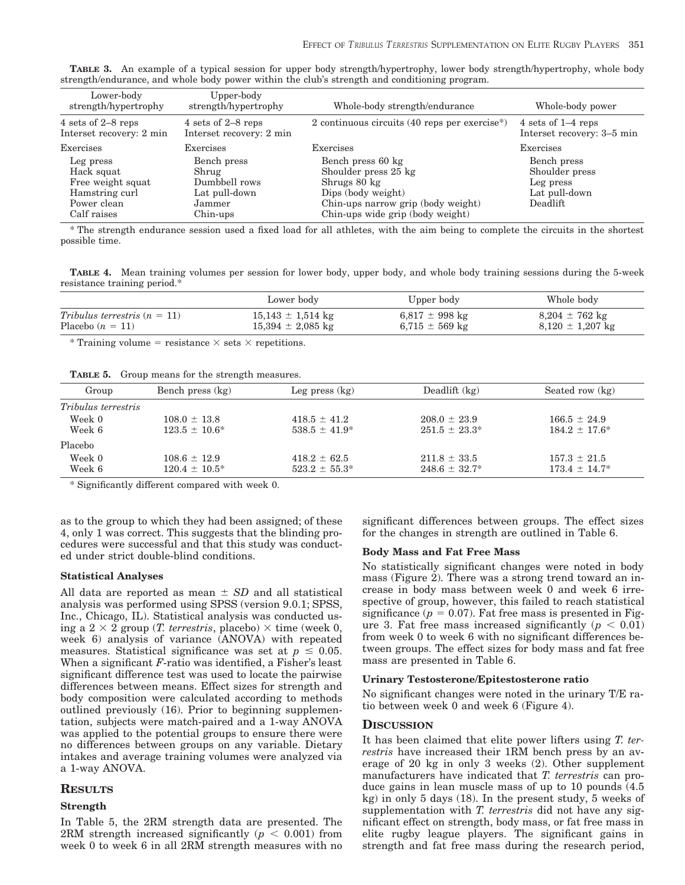| Lower-body<br>strength/hypertrophy                                                           | Upper-body<br>strength/hypertrophy                                           | Whole-body strength/endurance                                                                                                                             | Whole-body power                                                        |
|----------------------------------------------------------------------------------------------|------------------------------------------------------------------------------|-----------------------------------------------------------------------------------------------------------------------------------------------------------|-------------------------------------------------------------------------|
| 4 sets of 2–8 reps<br>Interset recovery: 2 min                                               | 4 sets of 2–8 reps<br>Interset recovery: 2 min                               | 2 continuous circuits $(40$ reps per exercise <sup>*</sup> )                                                                                              | 4 sets of $1-4$ reps<br>Interset recovery: 3-5 min                      |
| Exercises                                                                                    | Exercises                                                                    | Exercises                                                                                                                                                 | Exercises                                                               |
| Leg press<br>Hack squat<br>Free weight squat<br>Hamstring curl<br>Power clean<br>Calf raises | Bench press<br>Shrug<br>Dumbbell rows<br>Lat pull-down<br>Jammer<br>Chin-ups | Bench press 60 kg<br>Shoulder press 25 kg<br>Shrugs 80 kg<br>Dips (body weight)<br>Chin-ups narrow grip (body weight)<br>Chin-ups wide grip (body weight) | Bench press<br>Shoulder press<br>Leg press<br>Lat pull-down<br>Deadlift |

**TABLE 3.** An example of a typical session for upper body strength/hypertrophy, lower body strength/hypertrophy, whole body strength/endurance, and whole body power within the club's strength and conditioning program.

\* The strength endurance session used a fixed load for all athletes, with the aim being to complete the circuits in the shortest possible time.

**TABLE 4.** Mean training volumes per session for lower body, upper body, and whole body training sessions during the 5-week resistance training period.\*

|                                | Lower body            | Upper body         | Whole body                 |
|--------------------------------|-----------------------|--------------------|----------------------------|
| Tribulus terrestris $(n = 11)$ | $15,143 \pm 1,514$ kg | $6,817 \pm 998$ kg | $8,204 \pm 762 \text{ kg}$ |
| Placebo $(n = 11)$             | $15,394 \pm 2,085$ kg | $6.715 \pm 569$ kg | $8,120 \pm 1,207$ kg       |

\* Training volume = resistance  $\times$  sets  $\times$  repetitions.

**TABLE 5.** Group means for the strength measures.

| Group                      | Bench press (kg)   | Leg press $(kg)$   | Deadlift $(kg)$    | Seated row (kg)    |
|----------------------------|--------------------|--------------------|--------------------|--------------------|
| <i>Tribulus terrestris</i> |                    |                    |                    |                    |
| Week 0                     | $108.0 \pm 13.8$   | $418.5 \pm 41.2$   | $208.0 \pm 23.9$   | $166.5 \pm 24.9$   |
| Week 6                     | $123.5 \pm 10.6^*$ | $538.5 \pm 41.9^*$ | $251.5 \pm 23.3^*$ | $184.2 \pm 17.6^*$ |
| Placebo                    |                    |                    |                    |                    |
| Week 0                     | $108.6 \pm 12.9$   | $418.2 \pm 62.5$   | $211.8 \pm 33.5$   | $157.3 \pm 21.5$   |
| Week 6                     | $120.4 \pm 10.5^*$ | $523.2 \pm 55.3^*$ | $248.6 \pm 32.7^*$ | $173.4 \pm 14.7^*$ |

\* Significantly different compared with week 0.

as to the group to which they had been assigned; of these 4, only 1 was correct. This suggests that the blinding procedures were successful and that this study was conducted under strict double-blind conditions.

#### **Statistical Analyses**

All data are reported as mean  $\pm SD$  and all statistical analysis was performed using SPSS (version 9.0.1; SPSS, Inc., Chicago, IL). Statistical analysis was conducted using a  $2 \times 2$  group (*T. terrestris*, placebo)  $\times$  time (week 0, week 6) analysis of variance (ANOVA) with repeated measures. Statistical significance was set at  $p \leq 0.05$ . When a significant *F*-ratio was identified, a Fisher's least significant difference test was used to locate the pairwise differences between means. Effect sizes for strength and body composition were calculated according to methods outlined previously (16). Prior to beginning supplementation, subjects were match-paired and a 1-way ANOVA was applied to the potential groups to ensure there were no differences between groups on any variable. Dietary intakes and average training volumes were analyzed via a 1-way ANOVA.

## **RESULTS**

## **Strength**

In Table 5, the 2RM strength data are presented. The 2RM strength increased significantly ( $p < 0.001$ ) from week 0 to week 6 in all 2RM strength measures with no significant differences between groups. The effect sizes for the changes in strength are outlined in Table 6.

# **Body Mass and Fat Free Mass**

No statistically significant changes were noted in body mass (Figure 2). There was a strong trend toward an increase in body mass between week 0 and week 6 irrespective of group, however, this failed to reach statistical significance ( $p = 0.07$ ). Fat free mass is presented in Figure 3. Fat free mass increased significantly  $(p < 0.01)$ from week 0 to week 6 with no significant differences between groups. The effect sizes for body mass and fat free mass are presented in Table 6.

#### **Urinary Testosterone/Epitestosterone ratio**

No significant changes were noted in the urinary T/E ratio between week 0 and week 6 (Figure 4).

## **DISCUSSION**

It has been claimed that elite power lifters using *T. terrestris* have increased their 1RM bench press by an average of 20 kg in only 3 weeks (2). Other supplement manufacturers have indicated that *T. terrestris* can produce gains in lean muscle mass of up to 10 pounds (4.5 kg) in only 5 days (18). In the present study, 5 weeks of supplementation with *T. terrestris* did not have any significant effect on strength, body mass, or fat free mass in elite rugby league players. The significant gains in strength and fat free mass during the research period,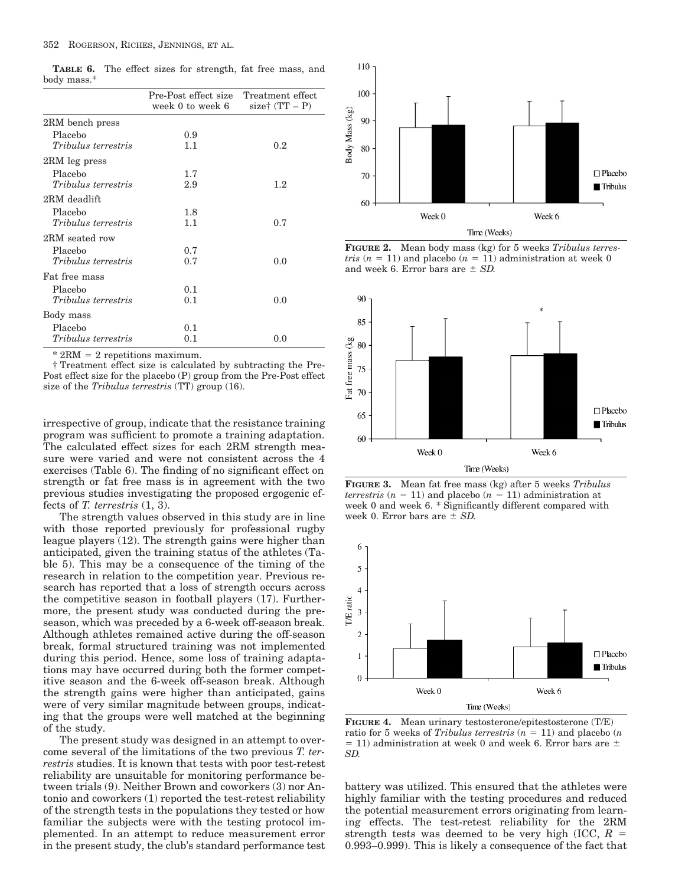**TABLE 6.** The effect sizes for strength, fat free mass, and body mass.\*

|                            | Pre-Post effect size Treatment effect<br>week 0 to week 6 | size† $(TT - P)$ |
|----------------------------|-----------------------------------------------------------|------------------|
| 2RM bench press            |                                                           |                  |
| Placebo                    | 0.9                                                       |                  |
| Tribulus terrestris        | 1.1                                                       | 0.2 <sub>1</sub> |
| 2RM leg press              |                                                           |                  |
| Placebo                    | 1.7                                                       |                  |
| Tribulus terrestris        | 2.9                                                       | 1.2              |
| 2RM deadlift               |                                                           |                  |
| Placebo                    | 1.8                                                       |                  |
| <i>Tribulus terrestris</i> | 1.1                                                       | 0.7              |
| 2RM seated row             |                                                           |                  |
| Placebo                    | 0.7                                                       |                  |
| <i>Tribulus terrestris</i> | 0.7                                                       | 0.0              |
| Fat free mass              |                                                           |                  |
| Placebo                    | 0.1                                                       |                  |
| <i>Tribulus terrestris</i> | 0.1                                                       | 0.0              |
| Body mass                  |                                                           |                  |
| Placebo                    | 0.1                                                       |                  |
| <i>Tribulus terrestris</i> | 0.1                                                       | 0.0              |

 $*$  2RM = 2 repetitions maximum.

† Treatment effect size is calculated by subtracting the Pre-Post effect size for the placebo (P) group from the Pre-Post effect size of the *Tribulus terrestris* (TT) group (16).

irrespective of group, indicate that the resistance training program was sufficient to promote a training adaptation. The calculated effect sizes for each 2RM strength measure were varied and were not consistent across the 4 exercises (Table 6). The finding of no significant effect on strength or fat free mass is in agreement with the two previous studies investigating the proposed ergogenic effects of *T. terrestris* (1, 3).

The strength values observed in this study are in line with those reported previously for professional rugby league players (12). The strength gains were higher than anticipated, given the training status of the athletes (Table 5). This may be a consequence of the timing of the research in relation to the competition year. Previous research has reported that a loss of strength occurs across the competitive season in football players (17). Furthermore, the present study was conducted during the preseason, which was preceded by a 6-week off-season break. Although athletes remained active during the off-season break, formal structured training was not implemented during this period. Hence, some loss of training adaptations may have occurred during both the former competitive season and the 6-week off-season break. Although the strength gains were higher than anticipated, gains were of very similar magnitude between groups, indicating that the groups were well matched at the beginning of the study.

The present study was designed in an attempt to overcome several of the limitations of the two previous *T. terrestris* studies. It is known that tests with poor test-retest reliability are unsuitable for monitoring performance between trials (9). Neither Brown and coworkers (3) nor Antonio and coworkers (1) reported the test-retest reliability of the strength tests in the populations they tested or how familiar the subjects were with the testing protocol implemented. In an attempt to reduce measurement error in the present study, the club's standard performance test



**FIGURE 2.** Mean body mass (kg) for 5 weeks *Tribulus terrestris*  $(n = 11)$  and placebo  $(n = 11)$  administration at week 0 and week 6. Error bars are  $\pm$  *SD*.



**FIGURE 3.** Mean fat free mass (kg) after 5 weeks *Tribulus terrestris*  $(n = 11)$  and placebo  $(n = 11)$  administration at week 0 and week 6. \* Significantly different compared with week 0. Error bars are  $\pm$  *SD*.



**FIGURE 4.** Mean urinary testosterone/epitestosterone (T/E) ratio for 5 weeks of *Tribulus terrestris*  $(n = 11)$  and placebo  $(n)$  $=$  11) administration at week 0 and week 6. Error bars are  $\pm$ *SD.*

battery was utilized. This ensured that the athletes were highly familiar with the testing procedures and reduced the potential measurement errors originating from learning effects. The test-retest reliability for the 2RM strength tests was deemed to be very high (ICC, *R* 0.993–0.999). This is likely a consequence of the fact that